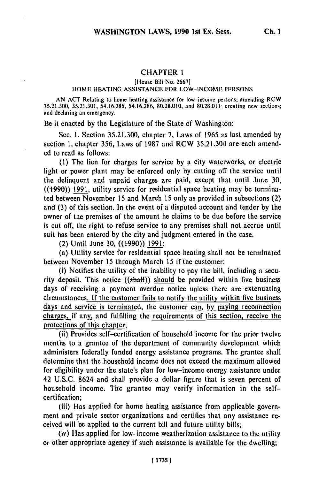# CHAPTER **1**

[House Bill No. **2667]**

### HOME HEATING **ASSISTANCE** FOR LOW-INCOME **PERSONS**

AN ACT Relating to home heating assistance for low-income persons; amending RCW 35.21.300, 35.21.301, 54.16.285, 54.16.286, 80.28.010, and 80.28.011; creating new sections; and declaring an emergency.

Be it enacted by the Legislature of the State of Washington:

Sec. **1.** Section 35.21.300, chapter **7,** Laws of 1965 as last amended by section **1,** chapter **356,** Laws of 1987 and RCW 35.21.300 are each amended to read as follows:

**(1)** The lien for charges for service **by** a city waterworks, or electric light or power plant may be enforced only by cutting off the service until the delinquent and unpaid charges are paid, except that until June **30,**  $((1990))$  1991, utility service for residential space heating, may be terminated between November **15** and March 15 only as provided in subsections (2) and (3) of this section. In the event of a disputed account and tender by the owner of the premises of the amount he claims to be due before the service is cut off, the right to refuse service to any premises shall not accrue until suit has been entered by the city and judgment entered in the case.

(2) Until June **30,** ((-990)) 1991:

(a) Utility service for residential space heating shall not be terminated between November **15** through March **15** if the customer:

(i) Notifies the utility of the inability to pay the bill, including a security deposit. This notice  $((shath))$  should be provided within five business days of receiving a payment overdue notice unless there are extenuating circumstances. **If** the customer fails to notify the utility within five business days and service is terminated, the customer can, by paying reconnection charges, if any, and fulfilling the requirements of this section, receive the protections of this chapter;

(ii) Provides self-certification of household income for the prior twelve months to a grantee of the department of community development which administers federally funded energy assistance programs. The grantee shall determine that the household income does not exceed the maximum allowed for eligibility under the state's plan for low-income energy assistance under 42 **U.S.C.** 8624 and shall provide a dollar figure that is seven percent of household income. The grantee may verify information in the selfcertification;

(iii) Has applied for home heating assistance from applicable government and private sector organizations and certifies that any assistance received will be applied to the current bill and future utility bills;

(iv) Has applied for low-income weatherization assistance to the utility or other appropriate agency if such assistance is available for the dwelling;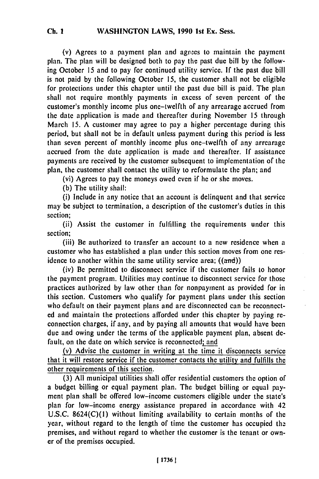#### WASHINGTON LAWS, **1990 Ist** Ex. Sess. **Ch. I**

(v) Agrees to a payment plan and agrees to maintain the payment plan. The plan will be designed both to pay the past due bill by the following October 15 and to pay for continued utility service. If the past due bill is not paid by the following October 15, the customer shall not be eligible for protections under this chapter until the past due bill is paid. The plan shall not require monthly payments in excess of seven percent of the customer's monthly income plus one-twelfth of any arrearage accrued from the date application is made and thereafter during November 15 through March 15. A customer may agree to pay a higher percentage during this period, but shall not be in default unless payment during this period is less than seven percent of monthly income plus one-twelfth of any arrearage accrued from the date application is made and thereafter. If assistance payments are received by the customer subsequent to implementation of the plan, the customer shall contact the utility to reformulate the plan; and

(vi) Agrees to pay the moneys owed even if he or she moves.

(b) The utility shall:

(i) Include in any notice that an account is delinquent and that service may be subject to termination, a description of the customer's duties in this section;

(ii) Assist the customer in fulfilling the requirements under this section;

(iii) Be authorized to transfer an account to a new residence when a customer who has established a plan under this section moves from one residence to another within the same utility service area;  $((and))$ 

(iv) Be permitted to disconnect service if the customer fails to honor the payment program. Utilities may continue to disconnect service for those practices authorized by law other than for nonpayment as provided for in this section. Customers who qualify for payment plans under this section who default on their payment plans and are disconnected can be reconnected and maintain the protections afforded under this chapter by paying reconnection charges, if any, and by paying all amounts that would have been due and owing under the terms of the applicable payment plan, absent default, on the date on which service is reconnected; and

(v) Advise the customer in writing at the time it disconnects service that it will restore service if the customer contacts the utility and fulfills the other requirements of this section.

(3) All municipal utilities shall offer residential customers the option of a budget billing or equal payment plan. The budget billing or equal payment plan shall be offered low-income customers eligible under the state's plan for low-income energy assistance prepared in accordance with 42 U.S.C. 8624(C)(1) without limiting availability to certain months of the year, without regard to the length of time the customer has occupied the premises, and without regard to whether the customer is the tenant or owner of the premises occupied.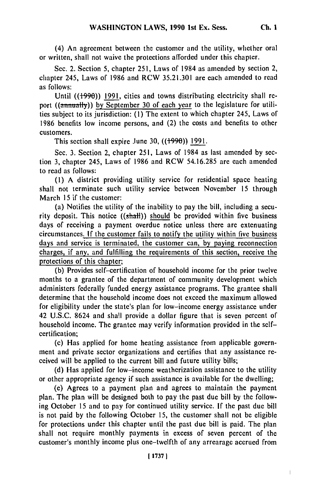(4) An agreement between the customer and the utility, whether oral or written, shall not waive the protections afforded under this chapter.

Sec. 2. Section 5, chapter 251, Laws of 1984 as amended by section 2, chapter 245, Laws of 1986 and RCW 35.21.301 are each amended to read as follows:

Until ((+990)) 1991, cities and towns distributing electricity shall report ((annually)) by September 30 of each year to the legislature for utilities subject to its jurisdiction: **(1)** The extent to which chapter 245, Laws of 1986 benefits low income persons, and (2) the costs and benefits to other customers.

This section shall expire June 30,  $((1990))$  1991.

Sec. 3. Section 2, chapter 251, Laws of 1984 as last amended by section 3, chapter 245, Laws of 1986 and RCW 54.16.285 are each amended to read as follows:

(1) A district providing utility service for residential space heating shall not terminate such utility service between November 15 through March 15 if the customer:

(a) Notifies the utility of the inability to pay the bill, including a security deposit. This notice  $((shall))$  should be provided within five business days of receiving a payment overdue notice unless there are extenuating circumstances. If the customer fails to notify the utility within five business days and service is terminated, the customer can, **by** paying reconnection charges, if any, and fulfilling the requirements of this section, receive the protections of this chapter;

(b) Provides self-certification of household income for the prior twelve months to a grantee of the department of community development which administers federally funded energy assistance programs. The grantee shall determine that the household income does not exceed the maximum allowed for eligibility under the state's plan for low-income energy assistance under 42 U.S.C. 8624 and shall provide a dollar figure that is seven percent of household income. The grantee may verify information provided in the selfcertification;

(c) Has applied for home heating assistance from applicable government and private sector organizations and certifies that any assistance received will be applied to the current bill and future utility bills;

(d) Has applied for low-income weatherization assistance to the utility or other appropriate agency if such assistance is available for the dwelling;

(e) Agrees to a payment plan and agrees to maintain the payment plan. The plan will be designed both to pay the past due bill by the following October 15 and to pay for continued utility service. If the past due bill is not paid by the following October 15, the customer shall not be eligible for protections under this chapter until the past due bill is paid. The plan shall not require monthly payments in excess of seven percent of the customer's monthly income plus one-twelfth of any arrearage accrued from

**Ch. I**

 $\begin{array}{c} \hline \end{array}$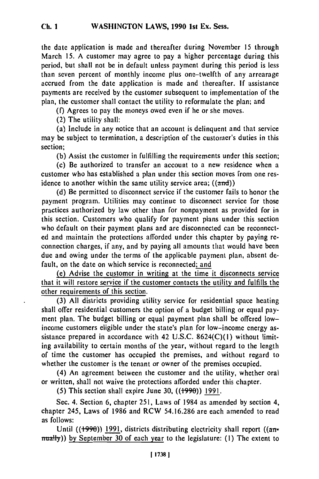the date application is made and thereafter during November 15 through March 15. A customer may agree to pay a higher percentage during this period, but shall not be in default unless payment during this period is less than seven percent of monthly income plus one-twelfth of any arrearage accrued from the date application is made and thereafter. If assistance payments are received by the customer subsequent to implementation of the plan, the customer shall contact the utility to reformulate the plan; and

(f) Agrees to pay the moneys owed even if he or she moves.

(2) The utility shall:

(a) Include in any notice that an account is delinquent and that service may be subject to termination, a description of the customer's duties in this section;

(b) Assist the customer in fulfilling the requirements under this section;

(c) Be authorized to transfer an account to a new residence when a customer who has established a plan under this section moves from one residence to another within the same utility service area;  $((and))$ 

(d) Be permitted to disconnect service if the customer fails to honor the payment program. Utilities may continue to disconnect service for those practices authorized by law other than for nonpayment as provided for in this section. Customers who qualify for payment plans under this section who default on their payment plans and are disconnected can be reconnected and maintain the protections afforded under this chapter by paying reconnection charges, if any, and by paying all amounts that would have been due and owing under the terms of the applicable payment plan, absent default, on the date on which service is reconnected; and

(e) Advise the customer in writing at the time it disconnects service that it will restore service if the customer contacts the utility and fulfills the other requirements of this section.

(3) All districts providing utility service for residential space heating shall offer residential customers the option of a budget billing or equal payment plan. The budget billing or equal payment plan shall be offered lowincome customers eligible under the state's plan for low-income energy assistance prepared in accordance with 42 U.S.C. 8624(C)(1) without limiting availability to certain months of the year, without regard to the length of time the customer has occupied the premises, and without regard to whether the customer is the tenant or owner of the premises occupied.

(4) An agreement between the customer and the utility, whether oral or written, shall not waive the protections afforded under this chapter.

(5) This section shall expire June 30,  $((1990))$  1991.

Sec. 4. Section 6, chapter 251, Laws of 1984 as amended by section 4, chapter 245, Laws of 1986 and RCW 54.16.286 are each amended to read as follows:

Until ( $(1990)$ ) 1991, districts distributing electricity shall report ( $(3\pi$ mually)) by September 30 of each year to the legislature: (1) The extent to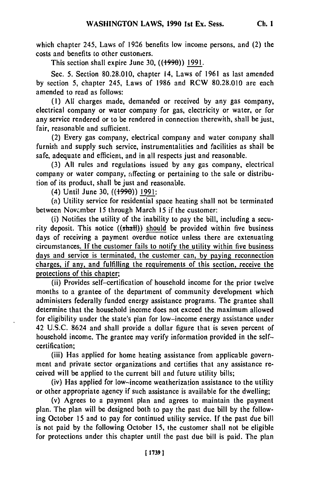which chapter 245, Laws of **1926** benefits low income persons, and (2) the costs and benefits to other customers.

This section shall expire June 30,  $((1990))$  1991.

Sec. 5. Section 80.28.010, chapter 14, Laws of 1961 as last amended by section 5, chapter 245, Laws of 1986 and RCW 80.28.010 are each amended to read as follows:

**(1)** All charges made, demanded or received by any gas company, electrical company or water company for gas, electricity or water, or for any service rendered or to be rendered in connection therewith, shall be just, fair, reasonable and sufficient.

(2) Every gas company, electrical company and water company shall furnish and supply such service, instrumentalities and facilities as shall be safe, adequate and efficient, and in all respects just and reasonable.

(3) All rules and regulations issued by any gas company, electrical company or water company, affecting or pertaining to the sale or distribution of its product, shall be just and reasonable.

(4) Until June **30, ((+990))** 1991:

(a) Utility service for residential space heating shall not be terminated between Novcmber 15 through March 15 if the customer:

(i) Notifies the utility of the inability to pay the bill, including a security deposit. This notice  $((shall))$  should be provided within five business days of receiving a payment overdue notice unless there are extenuating circumstances. If the customer fails to notify the utility within five business days and service is terminated, the customer can, **by** paying reconnection charges, if any, and fulfilling the requirements of this section, receive the protections of this chapter;

(ii) Provides self-certification of household income for the prior twelve months to a grantee of the department of community development which administers federally funded energy assistance programs. The grantee shall determine that the household income does not exceed the maximum allowed for eligibility under the state's plan for low-income energy assistance under 42 U.S.C. 8624 and shall provide a dollar figure that is seven percent of household income. The grantee may verify information provided in the selfcertification;

(iii) Has applied for home heating assistance from applicable government and private sector organizations and certifies that any assistance received will be applied to the current bill and future utility bills;

(iv) Has applied for low-income weatherization assistance to the utility or other appropriate agency if such assistance is available for the dwelling;

(v) Agrees to a payment plan and agrees to maintain the payment plan. The plan will be designed both to pay the past due bill by the following October 15 and to pay for continued utility service. If the past due bill is not paid by the following October 15, the customer shall not be eligible for protections under this chapter until the past due bill is paid. The plan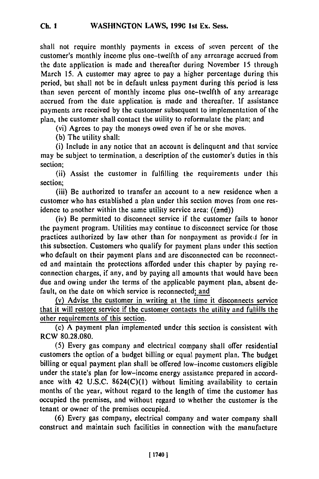shall not require monthly payments in excess of seven percent of the customer's monthly income plus one-twelfth of any arrearage accrued from the date application is made and thereafter during November 15 through March 15. A customer may agree to pay a higher percentage during this period, but shall not be in default unless payment during this period is less than seven percent of monthly income plus one-twelfth of any arrearage accrued from the date application is made and thereafter. If assistance payments are received by the customer subsequent to implementation of the plan, the customer shall contact the utility to reformulate the plan; and

(vi) Agrees to pay the moneys owed even if he or she moves.

(b) The utility shall:

(i) Include in any notice that an account is delinquent and that service may be subject to termination, a description of the customer's duties in this section;

(ii) Assist the customer in fulfilling the requirements under this section;

(iii) Be authorized to transfer an account to a new residence when a customer who has established a plan under this section moves from one residence to another within the same utility service area;  $((and))$ 

(iv) Be permitted to disconnect service if the customer fails to honor the payment program. Utilities may continue to disconnect service for those practices authorized by law other than for nonpayment as provided for in this subsection. Customers who qualify for payment plans under this section who default on their payment plans and are disconnected can be reconnected and maintain the protections afforded under this chapter by paying reconnection charges, if any, and by paying all amounts that would have been due and owing under the terms of the applicable payment plan, absent default, on the date on which service is reconnected; and

(v) Advise the customer in writing at the time it disconnects service that it will restore service if the customer contacts the utility and fulfills the other requirements of this section.

(c) A payment plan implemented under this section is consistent with RCW 80.28.080.

(5) Every gas company and electrical company shall offer residential customers the option of a budget billing or equal payment plan. The budget billing or equal payment plan shall be offered low-income customers eligible under the state's plan for low-income energy assistance prepared in accordance with 42 U.S.C.  $8624(C)(1)$  without limiting availability to certain months of the year, without regard to the length of time the customer has occupied the premises, and without regard to whether the customer is the tenant or owner of the premises occupied.

(6) Every gas company, electrical company and water company shall construct and maintain such facilities in connection with the manufacture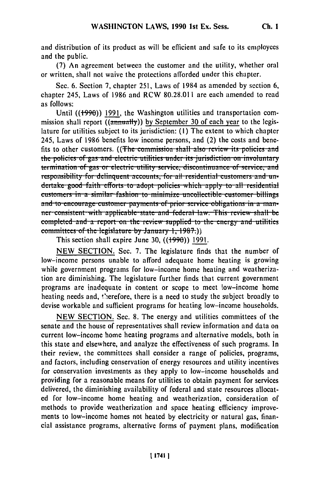**Ch. I**

and distribution of its product as will be efficient and safe to its employees and the public.

(7) An agreement between the customer and the utility, whether oral or written, shall not waive the protections afforded under this chapter.

Sec. 6. Section 7, chapter 251, Laws of 1984 as amended by section 6, chapter 245, Laws of 1986 and RCW 80.28.011 are each amended to read as follows:

Until  $((1990))$  1991, the Washington utilities and transportation commission shall report  $\overline{(\text{ammually})}$  by September 30 of each year to the legislature for utilities subject to its jurisdiction: **(I)** The extent to which chapter 245, Laws of 1986 benefits low income persons, and (2) the costs and benefits to other customers. ((The commission shall also review its policies and the policies of gas and electric utilities under its jurisdiction on involuntary termination of gas or electric utility service, discontinuance of service, and **un-**<br>responsibility for delinquent accounts, for all residential customers and undertake good faith efforts to adopt policies which apply to all residential **customers in a similar fashion to minimize uncollectible customer billings** and to encourage customer-payments of prior service obligations in a man**her** consistent with applicable state and federal law. This review shall be completed and a report on the review supplied to the energy and utilities **committees of the legislature by January 1, 1987.)** 

This section shall expire June 30, ((1990)) 1991.

NEW SECTION. Sec. 7. The legislature finds that the number of low-income persons unable to afford adequate home heating is growing while government programs for low-income home heating and weatherization are diminishing. The legislature further finds that current government programs are inadequate in content or scope to meet low-income home heating needs and, therefore, there is a need to study the subject broadly to devise workable and sufficient programs for heating low-income households.

NEW SECTION. Sec. 8. The energy and utilities committees of the senate and the house of representatives shall review information and data on current low-income home heating programs and alternative models, both in this state and elsewhere, and analyze the effectiveness of such programs. In their review, the committees shall consider a range of policies, programs, and factors, including conservation of energy resources and utility incentives for conservation investments as they apply to low-income households and providing for a reasonable means for utilities to obtain payment for services delivered, the diminishing availability of federal and state resources allocated for low-income home heating and weatherization, consideration of methods to provide weatherization and space heating efficiency improvements to low-income homes not heated by electricity or natural gas, financial assistance programs, alternative forms of payment plans, modification